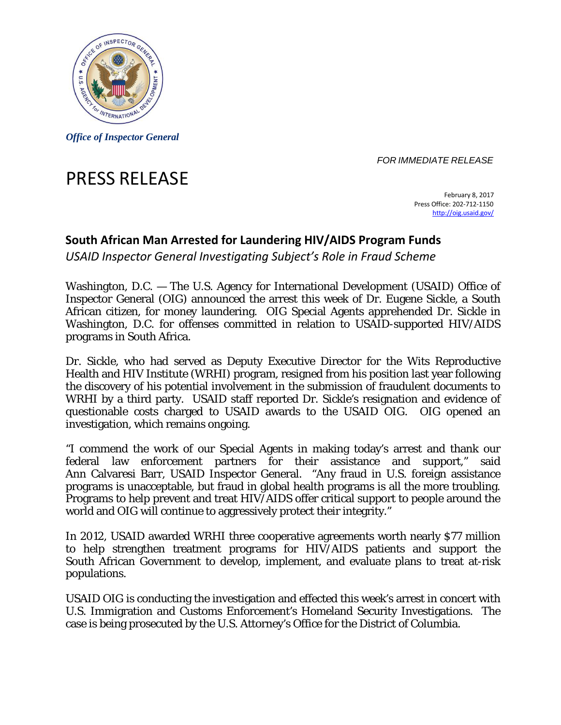

*Office of Inspector General* 

*FOR IMMEDIATE RELEASE* 

# PRESS RELEASE

 February 8, 2017 Press Office: 202‐712‐1150 http://oig.usaid.gov/

## **South African Man Arrested for Laundering HIV/AIDS Program Funds**

 *USAID Inspector General Investigating Subject's Role in Fraud Scheme*

Washington, D.C. — The U.S. Agency for International Development (USAID) Office of Inspector General (OIG) announced the arrest this week of Dr. Eugene Sickle, a South African citizen, for money laundering. OIG Special Agents apprehended Dr. Sickle in Washington, D.C. for offenses committed in relation to USAID-supported HIV/AIDS programs in South Africa.

Dr. Sickle, who had served as Deputy Executive Director for the Wits Reproductive Health and HIV Institute (WRHI) program, resigned from his position last year following the discovery of his potential involvement in the submission of fraudulent documents to WRHI by a third party. USAID staff reported Dr. Sickle's resignation and evidence of questionable costs charged to USAID awards to the USAID OIG. OIG opened an investigation, which remains ongoing.

programs is unacceptable, but fraud in global health programs is all the more troubling. "I commend the work of our Special Agents in making today's arrest and thank our federal law enforcement partners for their assistance and support," said Ann Calvaresi Barr, USAID Inspector General. "Any fraud in U.S. foreign assistance Programs to help prevent and treat HIV/AIDS offer critical support to people around the world and OIG will continue to aggressively protect their integrity."

In 2012, USAID awarded WRHI three cooperative agreements worth nearly \$77 million to help strengthen treatment programs for HIV/AIDS patients and support the South African Government to develop, implement, and evaluate plans to treat at-risk populations.

USAID OIG is conducting the investigation and effected this week's arrest in concert with U.S. Immigration and Customs Enforcement's Homeland Security Investigations. The case is being prosecuted by the U.S. Attorney's Office for the District of Columbia.